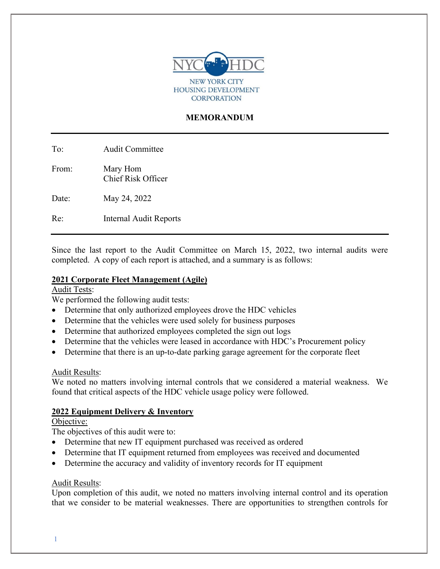

# **MEMORANDUM**

To: Audit Committee

From: Mary Hom Chief Risk Officer

Date: May 24, 2022

Re: Internal Audit Reports

Since the last report to the Audit Committee on March 15, 2022, two internal audits were completed. A copy of each report is attached, and a summary is as follows:

#### **2021 Corporate Fleet Management (Agile)**

Audit Tests:

We performed the following audit tests:

- Determine that only authorized employees drove the HDC vehicles
- Determine that the vehicles were used solely for business purposes
- Determine that authorized employees completed the sign out logs
- Determine that the vehicles were leased in accordance with HDC's Procurement policy
- Determine that there is an up-to-date parking garage agreement for the corporate fleet

## Audit Results:

We noted no matters involving internal controls that we considered a material weakness. We found that critical aspects of the HDC vehicle usage policy were followed.

## **2022 Equipment Delivery & Inventory**

Objective:

The objectives of this audit were to:

- Determine that new IT equipment purchased was received as ordered
- Determine that IT equipment returned from employees was received and documented
- Determine the accuracy and validity of inventory records for IT equipment

#### Audit Results:

Upon completion of this audit, we noted no matters involving internal control and its operation that we consider to be material weaknesses. There are opportunities to strengthen controls for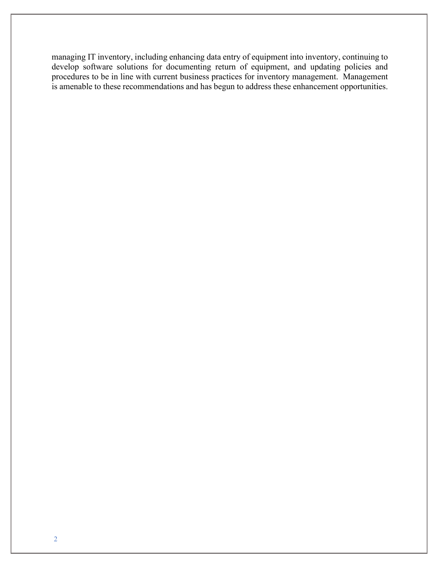managing IT inventory, including enhancing data entry of equipment into inventory, continuing to develop software solutions for documenting return of equipment, and updating policies and procedures to be in line with current business practices for inventory management. Management is amenable to these recommendations and has begun to address these enhancement opportunities.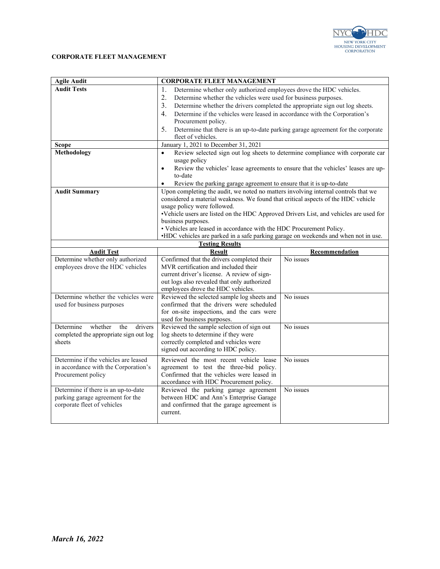

#### **CORPORATE FLEET MANAGEMENT**

| <b>Agile Audit</b>                                                                 | <b>CORPORATE FLEET MANAGEMENT</b>                                                              |                |
|------------------------------------------------------------------------------------|------------------------------------------------------------------------------------------------|----------------|
| <b>Audit Tests</b>                                                                 | Determine whether only authorized employees drove the HDC vehicles.<br>1.                      |                |
|                                                                                    | 2.<br>Determine whether the vehicles were used for business purposes.                          |                |
|                                                                                    | 3.<br>Determine whether the drivers completed the appropriate sign out log sheets.             |                |
|                                                                                    | 4.<br>Determine if the vehicles were leased in accordance with the Corporation's               |                |
|                                                                                    | Procurement policy.                                                                            |                |
|                                                                                    | Determine that there is an up-to-date parking garage agreement for the corporate<br>5.         |                |
|                                                                                    | fleet of vehicles.                                                                             |                |
| <b>Scope</b>                                                                       | January 1, 2021 to December 31, 2021                                                           |                |
| Methodology                                                                        | Review selected sign out log sheets to determine compliance with corporate car<br>$\bullet$    |                |
|                                                                                    | usage policy                                                                                   |                |
|                                                                                    | Review the vehicles' lease agreements to ensure that the vehicles' leases are up-<br>$\bullet$ |                |
|                                                                                    | to-date                                                                                        |                |
|                                                                                    | Review the parking garage agreement to ensure that it is up-to-date                            |                |
| <b>Audit Summary</b>                                                               | Upon completing the audit, we noted no matters involving internal controls that we             |                |
|                                                                                    | considered a material weakness. We found that critical aspects of the HDC vehicle              |                |
|                                                                                    | usage policy were followed.                                                                    |                |
|                                                                                    | •Vehicle users are listed on the HDC Approved Drivers List, and vehicles are used for          |                |
|                                                                                    | business purposes.                                                                             |                |
|                                                                                    | • Vehicles are leased in accordance with the HDC Procurement Policy.                           |                |
| •HDC vehicles are parked in a safe parking garage on weekends and when not in use. |                                                                                                |                |
| <b>Testing Results</b>                                                             |                                                                                                |                |
| <b>Audit Test</b>                                                                  | <b>Result</b>                                                                                  | Recommendation |
| Determine whether only authorized                                                  | Confirmed that the drivers completed their                                                     | No issues      |
|                                                                                    |                                                                                                |                |
| employees drove the HDC vehicles                                                   | MVR certification and included their                                                           |                |
|                                                                                    | current driver's license. A review of sign-                                                    |                |
|                                                                                    | out logs also revealed that only authorized                                                    |                |
|                                                                                    | employees drove the HDC vehicles.                                                              |                |
| Determine whether the vehicles were                                                | Reviewed the selected sample log sheets and                                                    | No issues      |
| used for business purposes                                                         | confirmed that the drivers were scheduled                                                      |                |
|                                                                                    | for on-site inspections, and the cars were                                                     |                |
|                                                                                    | used for business purposes.                                                                    |                |
| Determine<br>whether<br>drivers<br>the                                             | Reviewed the sample selection of sign out                                                      | No issues      |
| completed the appropriate sign out log<br>sheets                                   | log sheets to determine if they were                                                           |                |
|                                                                                    | correctly completed and vehicles were                                                          |                |
|                                                                                    | signed out according to HDC policy.                                                            |                |
| Determine if the vehicles are leased                                               | Reviewed the most recent vehicle lease                                                         | No issues      |
| in accordance with the Corporation's                                               | agreement to test the three-bid policy.                                                        |                |
| Procurement policy                                                                 | Confirmed that the vehicles were leased in                                                     |                |
|                                                                                    | accordance with HDC Procurement policy.                                                        |                |
| Determine if there is an up-to-date                                                | Reviewed the parking garage agreement                                                          | No issues      |
| parking garage agreement for the                                                   | between HDC and Ann's Enterprise Garage                                                        |                |
| corporate fleet of vehicles                                                        | and confirmed that the garage agreement is<br>current.                                         |                |